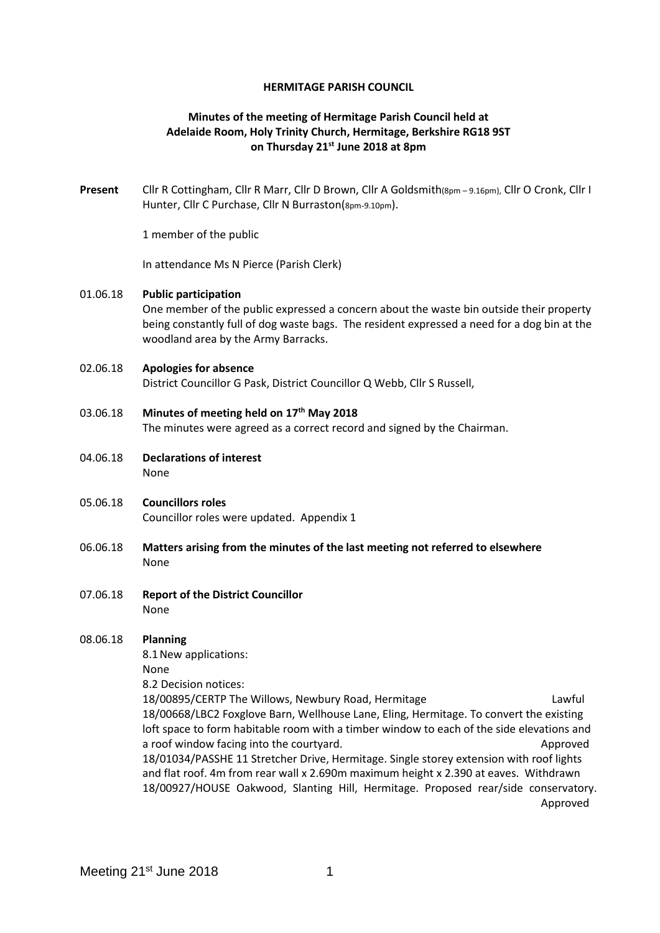#### **HERMITAGE PARISH COUNCIL**

# **Minutes of the meeting of Hermitage Parish Council held at Adelaide Room, Holy Trinity Church, Hermitage, Berkshire RG18 9ST on Thursday 21st June 2018 at 8pm**

**Present** Cllr R Cottingham, Cllr R Marr, Cllr D Brown, Cllr A Goldsmith(8pm – 9.16pm), Cllr O Cronk, Cllr I Hunter, Cllr C Purchase, Cllr N Burraston(8pm-9.10pm).

1 member of the public

In attendance Ms N Pierce (Parish Clerk)

#### 01.06.18 **Public participation**

One member of the public expressed a concern about the waste bin outside their property being constantly full of dog waste bags. The resident expressed a need for a dog bin at the woodland area by the Army Barracks.

#### 02.06.18 **Apologies for absence**

District Councillor G Pask, District Councillor Q Webb, Cllr S Russell,

# 03.06.18 **Minutes of meeting held on 17th May 2018**

The minutes were agreed as a correct record and signed by the Chairman.

- 04.06.18 **Declarations of interest** None
- 05.06.18 **Councillors roles** Councillor roles were updated. Appendix 1
- 06.06.18 **Matters arising from the minutes of the last meeting not referred to elsewhere** None
- 07.06.18 **Report of the District Councillor** None

## 08.06.18 **Planning**

8.1New applications:

None

8.2 Decision notices:

18/00895/CERTP The Willows, Newbury Road, Hermitage Lawful Lawful 18/00668/LBC2 Foxglove Barn, Wellhouse Lane, Eling, Hermitage. To convert the existing loft space to form habitable room with a timber window to each of the side elevations and a roof window facing into the courtyard. Approved 18/01034/PASSHE 11 Stretcher Drive, Hermitage. Single storey extension with roof lights and flat roof. 4m from rear wall x 2.690m maximum height x 2.390 at eaves. Withdrawn 18/00927/HOUSE Oakwood, Slanting Hill, Hermitage. Proposed rear/side conservatory. Approved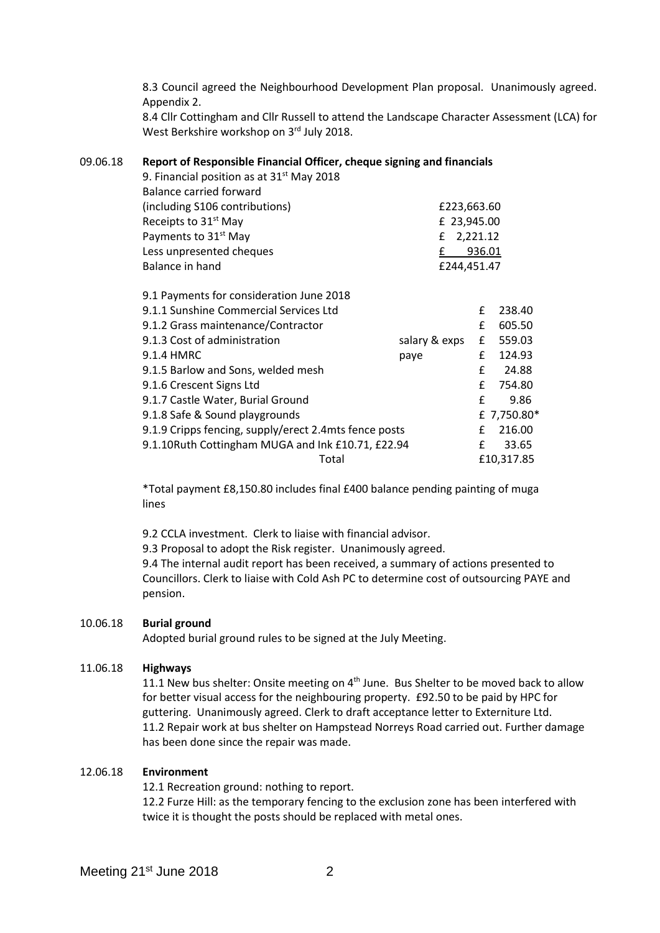8.3 Council agreed the Neighbourhood Development Plan proposal. Unanimously agreed. Appendix 2.

8.4 Cllr Cottingham and Cllr Russell to attend the Landscape Character Assessment (LCA) for West Berkshire workshop on 3rd July 2018.

# 09.06.18 **Report of Responsible Financial Officer, cheque signing and financials**

| 9. Financial position as at $31st$ May 2018           |               |        |             |
|-------------------------------------------------------|---------------|--------|-------------|
| <b>Balance carried forward</b>                        |               |        |             |
| (including S106 contributions)                        | £223,663.60   |        |             |
| Receipts to 31 <sup>st</sup> May                      | £ 23,945.00   |        |             |
| Payments to 31 <sup>st</sup> May                      | 2,221.12<br>£ |        |             |
| Less unpresented cheques                              | £             | 936.01 |             |
| Balance in hand                                       | £244,451.47   |        |             |
| 9.1 Payments for consideration June 2018              |               |        |             |
| 9.1.1 Sunshine Commercial Services Ltd                |               | £      | 238.40      |
| 9.1.2 Grass maintenance/Contractor                    |               | £      | 605.50      |
| 9.1.3 Cost of administration                          | salary & exps | £      | 559.03      |
| 9.1.4 HMRC                                            | paye          | £      | 124.93      |
| 9.1.5 Barlow and Sons, welded mesh                    |               | £      | 24.88       |
| 9.1.6 Crescent Signs Ltd                              |               | £      | 754.80      |
| 9.1.7 Castle Water, Burial Ground                     |               | £      | 9.86        |
| 9.1.8 Safe & Sound playgrounds                        |               |        | £ 7,750.80* |
| 9.1.9 Cripps fencing, supply/erect 2.4mts fence posts |               | £      | 216.00      |
| 9.1.10Ruth Cottingham MUGA and Ink £10.71, £22.94     |               | £      | 33.65       |
| Total                                                 |               |        | £10,317.85  |

\*Total payment £8,150.80 includes final £400 balance pending painting of muga lines

9.2 CCLA investment. Clerk to liaise with financial advisor.

9.3 Proposal to adopt the Risk register. Unanimously agreed.

9.4 The internal audit report has been received, a summary of actions presented to Councillors. Clerk to liaise with Cold Ash PC to determine cost of outsourcing PAYE and pension.

## 10.06.18 **Burial ground**

Adopted burial ground rules to be signed at the July Meeting.

## 11.06.18 **Highways**

11.1 New bus shelter: Onsite meeting on  $4<sup>th</sup>$  June. Bus Shelter to be moved back to allow for better visual access for the neighbouring property. £92.50 to be paid by HPC for guttering. Unanimously agreed. Clerk to draft acceptance letter to Externiture Ltd. 11.2 Repair work at bus shelter on Hampstead Norreys Road carried out. Further damage has been done since the repair was made.

## 12.06.18 **Environment**

12.1 Recreation ground: nothing to report.

12.2 Furze Hill: as the temporary fencing to the exclusion zone has been interfered with twice it is thought the posts should be replaced with metal ones.